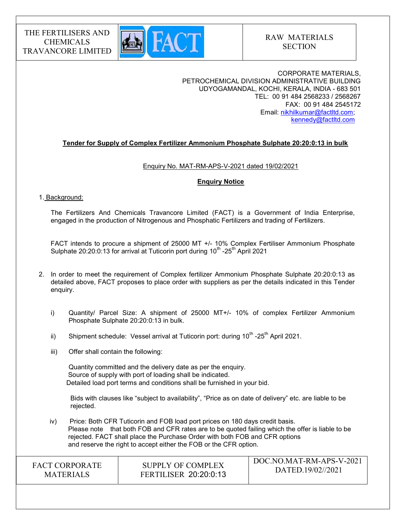

CORPORATE MATERIALS, PETROCHEMICAL DIVISION ADMINISTRATIVE BUILDING UDYOGAMANDAL, KOCHI, KERALA, INDIA - 683 501 TEL: 00 91 484 2568233 / 2568267 FAX: 00 91 484 2545172 Email: nikhilkumar@factltd.com; kennedy@factltd.com

# Tender for Supply of Complex Fertilizer Ammonium Phosphate Sulphate 20:20:0:13 in bulk

### Enquiry No. MAT-RM-APS-V-2021 dated 19/02/2021

### Enquiry Notice

### 1. Background:

The Fertilizers And Chemicals Travancore Limited (FACT) is a Government of India Enterprise, engaged in the production of Nitrogenous and Phosphatic Fertilizers and trading of Fertilizers.

 FACT intends to procure a shipment of 25000 MT +/- 10% Complex Fertiliser Ammonium Phosphate Sulphate  $20:20:0:13$  for arrival at Tuticorin port during  $10^{th}$  -25<sup>th</sup> April 2021

- 2. In order to meet the requirement of Complex fertilizer Ammonium Phosphate Sulphate 20:20:0:13 as detailed above, FACT proposes to place order with suppliers as per the details indicated in this Tender enquiry.
	- i) Quantity/ Parcel Size: A shipment of 25000 MT+/- 10% of complex Fertilizer Ammonium Phosphate Sulphate 20:20:0:13 in bulk.
	- ii) Shipment schedule: Vessel arrival at Tuticorin port: during  $10^{th}$  -25<sup>th</sup> April 2021.
	- iii) Offer shall contain the following:

Quantity committed and the delivery date as per the enquiry. Source of supply with port of loading shall be indicated. Detailed load port terms and conditions shall be furnished in your bid.

 Bids with clauses like "subject to availability", "Price as on date of delivery" etc. are liable to be rejected.

 iv) Price: Both CFR Tuticorin and FOB load port prices on 180 days credit basis. Please note that both FOB and CFR rates are to be quoted failing which the offer is liable to be rejected. FACT shall place the Purchase Order with both FOB and CFR options and reserve the right to accept either the FOB or the CFR option.

| <b>FACT CORPORATE</b> | SUPPLY OF COMPLEX            | DOC.NO.MAT-RM-APS-V-2021 |
|-----------------------|------------------------------|--------------------------|
| <b>MATERIALS</b>      | <b>FERTILISER 20:20:0:13</b> | DATED.19/02//2021        |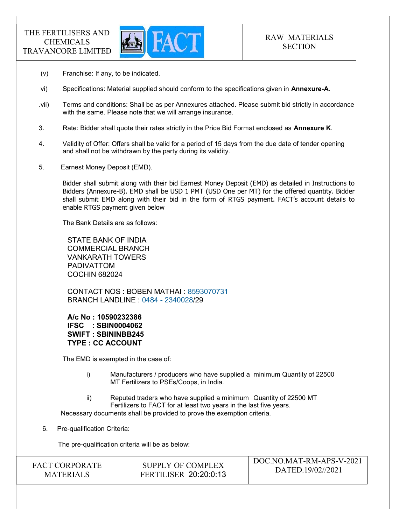

- (v) Franchise: If any, to be indicated.
- vi) Specifications: Material supplied should conform to the specifications given in Annexure-A.
- .vii) Terms and conditions: Shall be as per Annexures attached. Please submit bid strictly in accordance with the same. Please note that we will arrange insurance.
- 3. Rate: Bidder shall quote their rates strictly in the Price Bid Format enclosed as **Annexure K**.
- 4. Validity of Offer: Offers shall be valid for a period of 15 days from the due date of tender opening and shall not be withdrawn by the party during its validity.
- 5. Earnest Money Deposit (EMD).

Bidder shall submit along with their bid Earnest Money Deposit (EMD) as detailed in Instructions to Bidders (Annexure-B). EMD shall be USD 1 PMT (USD One per MT) for the offered quantity. Bidder shall submit EMD along with their bid in the form of RTGS payment. FACT's account details to enable RTGS payment given below

The Bank Details are as follows:

STATE BANK OF INDIA COMMERCIAL BRANCH VANKARATH TOWERS PADIVATTOM COCHIN 682024

CONTACT NOS : BOBEN MATHAI : 8593070731 BRANCH LANDLINE : 0484 - 2340028/29

A/c No : 10590232386 IFSC : SBIN0004062 SWIFT : SBININBB245 TYPE : CC ACCOUNT

The EMD is exempted in the case of:

- i) Manufacturers / producers who have supplied a minimum Quantity of 22500 MT Fertilizers to PSEs/Coops, in India.
- ii) Reputed traders who have supplied a minimum Quantity of 22500 MT Fertilizers to FACT for at least two years in the last five years.

Necessary documents shall be provided to prove the exemption criteria.

6. Pre-qualification Criteria:

The pre-qualification criteria will be as below:

| <b>MATERIALS</b> | <b>FACT CORPORATE</b> | SUPPLY OF COMPLEX<br><b>FERTILISER 20:20:0:13</b> | DOC.NO.MAT-RM-APS-V-2021<br>DATED.19/02//2021 |
|------------------|-----------------------|---------------------------------------------------|-----------------------------------------------|
|------------------|-----------------------|---------------------------------------------------|-----------------------------------------------|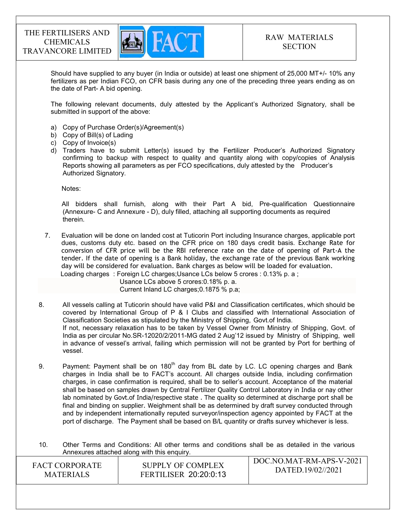

Should have supplied to any buyer (in India or outside) at least one shipment of 25,000 MT+/- 10% any fertilizers as per Indian FCO, on CFR basis during any one of the preceding three years ending as on the date of Part- A bid opening.

The following relevant documents, duly attested by the Applicant's Authorized Signatory, shall be submitted in support of the above:

- a) Copy of Purchase Order(s)/Agreement(s)
- b) Copy of Bill(s) of Lading
- c) Copy of Invoice(s)
- d) Traders have to submit Letter(s) issued by the Fertilizer Producer's Authorized Signatory confirming to backup with respect to quality and quantity along with copy/copies of Analysis Reports showing all parameters as per FCO specifications, duly attested by the Producer's Authorized Signatory.

Notes:

 All bidders shall furnish, along with their Part A bid, Pre-qualification Questionnaire (Annexure- C and Annexure - D), duly filled, attaching all supporting documents as required therein.

7. Evaluation will be done on landed cost at Tuticorin Port including Insurance charges, applicable port dues, customs duty etc. based on the CFR price on 180 days credit basis. Exchange Rate for conversion of CFR price will be the RBI reference rate on the date of opening of Part-A the tender. If the date of opening is a Bank holiday, the exchange rate of the previous Bank working day will be considered for evaluation. Bank charges as below will be loaded for evaluation. Loading charges : Foreign LC charges;Usance LCs below 5 crores : 0.13% p. a ;

Usance LCs above 5 crores:0.18% p. a.

Current Inland LC charges;0.1875 % p.a;

- 8. All vessels calling at Tuticorin should have valid P&I and Classification certificates, which should be covered by International Group of P & I Clubs and classified with International Association of Classification Societies as stipulated by the Ministry of Shipping, Govt.of India. If not, necessary relaxation has to be taken by Vessel Owner from Ministry of Shipping, Govt. of India as per circular No.SR-12020/2/2011-MG dated 2 Aug'12 issued by Ministry of Shipping, well in advance of vessel's arrival, failing which permission will not be granted by Port for berthing of vessel.
- 9. Payment: Payment shall be on  $180<sup>th</sup>$  day from BL date by LC. LC opening charges and Bank charges in India shall be to FACT's account. All charges outside India, including confirmation charges, in case confirmation is required, shall be to seller's account. Acceptance of the material shall be based on samples drawn by Central Fertilizer Quality Control Laboratory in India or nay other lab nominated by Govt.of India/respective state . The quality so determined at discharge port shall be final and binding on supplier. Weighment shall be as determined by draft survey conducted through and by independent internationally reputed surveyor/inspection agency appointed by FACT at the port of discharge. The Payment shall be based on B/L quantity or drafts survey whichever is less.

 $\sqrt{\frac{N}{N}}$ 10. Other Terms and Conditions: All other terms and conditions shall be as detailed in the various Annexures attached along with this enquiry.

| <b>FACT CORPORATE</b> | SUPPLY OF COMPLEX            | - DOC.NO.MAT-RM-APS-V-2021<br>DATED.19/02//2021 |
|-----------------------|------------------------------|-------------------------------------------------|
| <b>MATERIALS</b>      | <b>FERTILISER 20:20:0:13</b> |                                                 |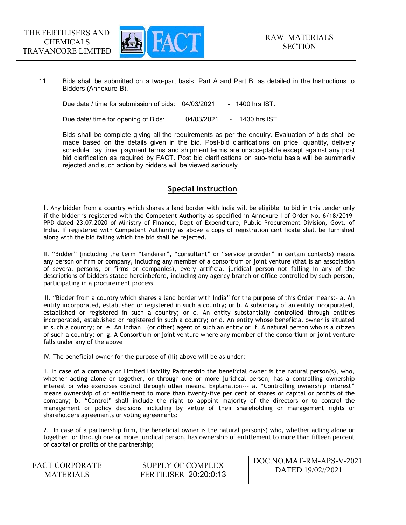

11. Bids shall be submitted on a two-part basis, Part A and Part B, as detailed in the Instructions to Bidders (Annexure-B).

Due date / time for submission of bids: 04/03/2021 - 1400 hrs IST.

Due date/ time for opening of Bids: 04/03/2021 - 1430 hrs IST.

 Bids shall be complete giving all the requirements as per the enquiry. Evaluation of bids shall be made based on the details given in the bid. Post-bid clarifications on price, quantity, delivery schedule, lay time, payment terms and shipment terms are unacceptable except against any post bid clarification as required by FACT. Post bid clarifications on suo-motu basis will be summarily rejected and such action by bidders will be viewed seriously.

# Special Instruction

I. Any bidder from a country which shares a land border with India will be eligible to bid in this tender only if the bidder is registered with the Competent Authority as specified in Annexure-I of Order No. 6/18/2019- PPD dated 23.07.2020 of Ministry of Finance, Dept of Expenditure, Public Procurement Division, Govt. of India. If registered with Competent Authority as above a copy of registration certificate shall be furnished along with the bid failing which the bid shall be rejected.

II. "Bidder" (including the term "tenderer", "consultant" or "service provider" in certain contexts) means any person or firm or company, including any member of a consortium or joint venture (that is an association of several persons, or firms or companies), every artificial juridical person not falling in any of the descriptions of bidders stated hereinbefore, including any agency branch or office controlled by such person, participating in a procurement process.

 III. "Bidder from a country which shares a land border with India" for the purpose of this Order means:- a. An entity incorporated, established or registered in such a country; or b. A subsidiary of an entity incorporated, established or registered in such a country; or c. An entity substantially controlled through entities incorporated, established or registered in such a country; or d. An entity whose beneficial owner is situated in such a country; or e. An Indian (or other) agent of such an entity or f. A natural person who is a citizen of such a country; or g. A Consortium or joint venture where any member of the consortium or joint venture falls under any of the above

IV. The beneficial owner for the purpose of (iii) above will be as under:

1. In case of a company or Limited Liability Partnership the beneficial owner is the natural person(s), who, whether acting alone or together, or through one or more juridical person, has a controlling ownership interest or who exercises control through other means. Explanation--- a. "Controlling ownership interest" means ownership of or entitlement to more than twenty-five per cent of shares or capital or profits of the company; b. "Control" shall include the right to appoint majority of the directors or to control the management or policy decisions including by virtue of their shareholding or management rights or shareholders agreements or voting agreements;

2. In case of a partnership firm, the beneficial owner is the natural person(s) who, whether acting alone or together, or through one or more juridical person, has ownership of entitlement to more than fifteen percent of capital or profits of the partnership;

FACT CORPORATE MATERIALS

SUPPLY OF COMPLEX FERTILISER 20:20:0:13 DOC.NO.MAT-RM-APS-V-2021 DATED.19/02//2021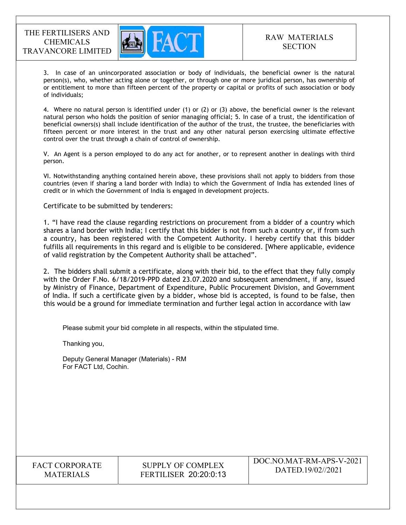

3. In case of an unincorporated association or body of individuals, the beneficial owner is the natural person(s), who, whether acting alone or together, or through one or more juridical person, has ownership of or entitlement to more than fifteen percent of the property or capital or profits of such association or body of individuals;

4. Where no natural person is identified under (1) or (2) or (3) above, the beneficial owner is the relevant natural person who holds the position of senior managing official; 5. In case of a trust, the identification of beneficial owners(s) shall include identification of the author of the trust, the trustee, the beneficiaries with fifteen percent or more interest in the trust and any other natural person exercising ultimate effective control over the trust through a chain of control of ownership.

V. An Agent is a person employed to do any act for another, or to represent another in dealings with third person.

VI. Notwithstanding anything contained herein above, these provisions shall not apply to bidders from those countries (even if sharing a land border with India) to which the Government of India has extended lines of credit or in which the Government of India is engaged in development projects.

Certificate to be submitted by tenderers:

1. "I have read the clause regarding restrictions on procurement from a bidder of a country which shares a land border with India; I certify that this bidder is not from such a country or, if from such a country, has been registered with the Competent Authority. I hereby certify that this bidder fulfills all requirements in this regard and is eligible to be considered. [Where applicable, evidence of valid registration by the Competent Authority shall be attached".

2. The bidders shall submit a certificate, along with their bid, to the effect that they fully comply with the Order F.No. 6/18/2019-PPD dated 23.07.2020 and subsequent amendment, if any, issued by Ministry of Finance, Department of Expenditure, Public Procurement Division, and Government of India. If such a certificate given by a bidder, whose bid is accepted, is found to be false, then this would be a ground for immediate termination and further legal action in accordance with law

Please submit your bid complete in all respects, within the stipulated time.

Thanking you,

Deputy General Manager (Materials) - RM For FACT Ltd, Cochin.

FACT CORPORATE **MATERIALS**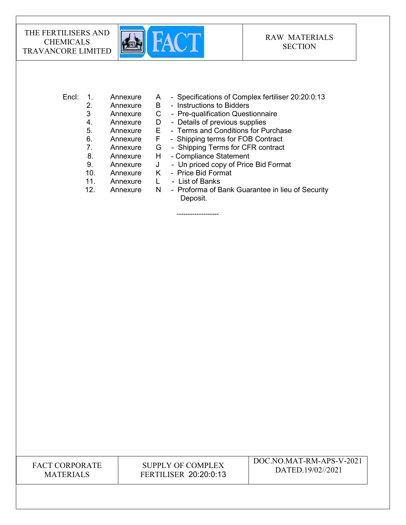

| Encl: 1. |  | Annexure |  |  | - Specifications of Complex fertiliser 20:20:0:13 |
|----------|--|----------|--|--|---------------------------------------------------|
|----------|--|----------|--|--|---------------------------------------------------|

- 2. Annexure B Instructions to Bidders
- 3 Annexure C Pre-qualification Questionnaire
- 4. Annexure D Details of previous supplies
- 5. Annexure E Terms and Conditions for Purchase
- 6. Annexure F Shipping terms for FOB Contract
- 7. Annexure G Shipping Terms for CFR contract
- 8. Annexure H Compliance Statement
- 
- 9. Annexure J Un priced copy of Price Bid Format
- 10. Annexure K Price Bid Format

-------------------

- 11. Annexure L List of Banks
- 12. Annexure N Proforma of Bank Guarantee in lieu of Security Deposit.

FACT CORPORATE **MATERIALS**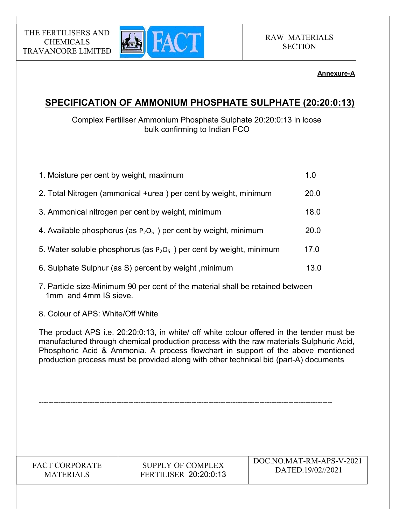

# Annexure-A

# SPECIFICATION OF AMMONIUM PHOSPHATE SULPHATE (20:20:0:13)

# Complex Fertiliser Ammonium Phosphate Sulphate 20:20:0:13 in loose bulk confirming to Indian FCO

| 1. Moisture per cent by weight, maximum                                | 1.0  |
|------------------------------------------------------------------------|------|
| 2. Total Nitrogen (ammonical +urea) per cent by weight, minimum        | 20.0 |
| 3. Ammonical nitrogen per cent by weight, minimum                      | 18.0 |
| 4. Available phosphorus (as $P_2O_5$ ) per cent by weight, minimum     | 20.0 |
| 5. Water soluble phosphorus (as $P_2O_5$ ) per cent by weight, minimum | 17.0 |
| 6. Sulphate Sulphur (as S) percent by weight, minimum                  | 13.0 |

- 7. Particle size-Minimum 90 per cent of the material shall be retained between 1mm and 4mm IS sieve.
- 8. Colour of APS: White/Off White

The product APS i.e. 20:20:0:13, in white/ off white colour offered in the tender must be manufactured through chemical production process with the raw materials Sulphuric Acid, Phosphoric Acid & Ammonia. A process flowchart in support of the above mentioned production process must be provided along with other technical bid (part-A) documents

FACT CORPORATE **MATERIALS** 

SUPPLY OF COMPLEX FERTILISER 20:20:0:13

-------------------------------------------------------------------------------------------------------------------------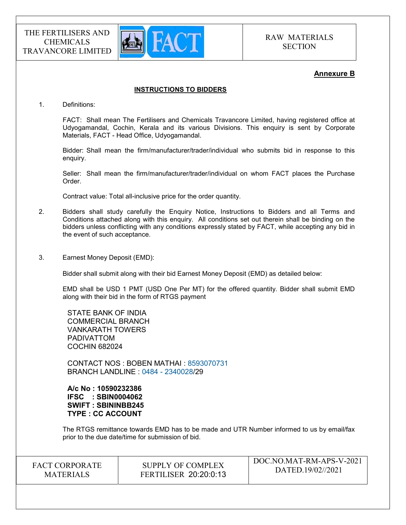

### Annexure B

### INSTRUCTIONS TO BIDDERS

1. Definitions:

FACT: Shall mean The Fertilisers and Chemicals Travancore Limited, having registered office at Udyogamandal, Cochin, Kerala and its various Divisions. This enquiry is sent by Corporate Materials, FACT - Head Office, Udyogamandal.

Bidder: Shall mean the firm/manufacturer/trader/individual who submits bid in response to this enquiry.

Seller: Shall mean the firm/manufacturer/trader/individual on whom FACT places the Purchase Order.

Contract value: Total all-inclusive price for the order quantity.

- 2. Bidders shall study carefully the Enquiry Notice, Instructions to Bidders and all Terms and Conditions attached along with this enquiry. All conditions set out therein shall be binding on the bidders unless conflicting with any conditions expressly stated by FACT, while accepting any bid in the event of such acceptance.
- 3. Earnest Money Deposit (EMD):

Bidder shall submit along with their bid Earnest Money Deposit (EMD) as detailed below:

EMD shall be USD 1 PMT (USD One Per MT) for the offered quantity. Bidder shall submit EMD along with their bid in the form of RTGS payment

STATE BANK OF INDIA COMMERCIAL BRANCH VANKARATH TOWERS PADIVATTOM COCHIN 682024

CONTACT NOS : BOBEN MATHAI : 8593070731 BRANCH LANDLINE : 0484 - 2340028/29

A/c No : 10590232386 IFSC : SBIN0004062 SWIFT : SBININBB245 TYPE : CC ACCOUNT

The RTGS remittance towards EMD has to be made and UTR Number informed to us by email/fax prior to the due date/time for submission of bid.

FACT CORPORATE **MATERIALS** 

SUPPLY OF COMPLEX FERTILISER 20:20:0:13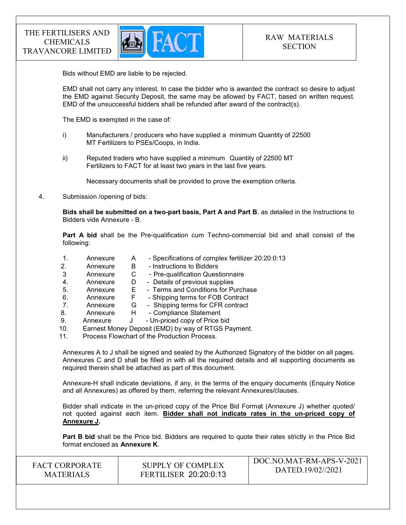

Bids without EMD are liable to be rejected.

EMD shall not carry any interest. In case the bidder who is awarded the contract so desire to adjust the EMD against Security Deposit, the same may be allowed by FACT, based on written request. EMD of the unsuccessful bidders shall be refunded after award of the contract(s).

The EMD is exempted in the case of:

- i) Manufacturers / producers who have supplied a minimum Quantity of 22500 MT Fertilizers to PSEs/Coops, in India.
- ii) Reputed traders who have supplied a minimum Quantity of 22500 MT Fertilizers to FACT for at least two years in the last five years.

Necessary documents shall be provided to prove the exemption criteria.

4. Submission /opening of bids:

Bids shall be submitted on a two-part basis, Part A and Part B, as detailed in the Instructions to Bidders vide Annexure - B.

Part A bid shall be the Pre-qualification cum Techno-commercial bid and shall consist of the following:

- 1. Annexure A Specifications of complex fertilizer 20:20:0:13
- 2. Annexure B Instructions to Bidders
- 3 Annexure C Pre-qualification Questionnaire
- 4. Annexure D Details of previous supplies
- 5. Annexure E Terms and Conditions for Purchase
- 6. Annexure F Shipping terms for FOB Contract
- 7. Annexure G Shipping terms for CFR contract
- 8. Annexure H Compliance Statement
- 9. Annexure J Un-priced copy of Price bid
- 10. Earnest Money Deposit (EMD) by way of RTGS Payment.
- 11. Process Flowchart of the Production Process.

Annexures A to J shall be signed and sealed by the Authorized Signatory of the bidder on all pages. Annexures C and D shall be filled in with all the required details and all supporting documents as required therein shall be attached as part of this document.

Annexure-H shall indicate deviations, if any, in the terms of the enquiry documents (Enquiry Notice and all Annexures) as offered by them, referring the relevant Annexures/clauses.

Bidder shall indicate in the un-priced copy of the Price Bid Format (Annexure J) whether quoted/ not quoted against each item. Bidder shall not indicate rates in the un-priced copy of Annexure J.

Part B bid shall be the Price bid. Bidders are required to quote their rates strictly in the Price Bid format enclosed as Annexure K.

| SUPPLY OF COMPLEX<br><b>FACT CORPORATE</b><br><b>FERTILISER 20:20:0:13</b><br><b>MATERIALS</b> | DOC.NO.MAT-RM-APS-V-2021<br>DATED.19/02//2021 |
|------------------------------------------------------------------------------------------------|-----------------------------------------------|
|------------------------------------------------------------------------------------------------|-----------------------------------------------|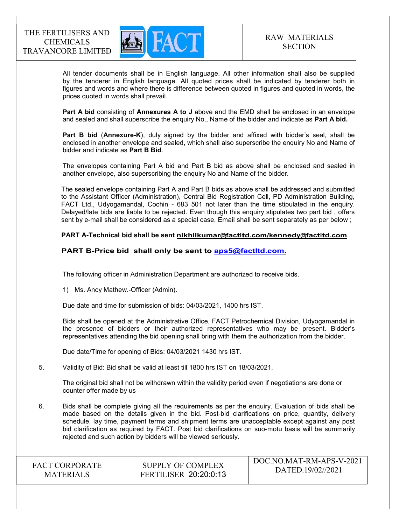

 All tender documents shall be in English language. All other information shall also be supplied by the tenderer in English language. All quoted prices shall be indicated by tenderer both in figures and words and where there is difference between quoted in figures and quoted in words, the prices quoted in words shall prevail.

Part A bid consisting of Annexures A to J above and the EMD shall be enclosed in an envelope and sealed and shall superscribe the enquiry No., Name of the bidder and indicate as Part A bid.

Part B bid (Annexure-K), duly signed by the bidder and affixed with bidder's seal, shall be enclosed in another envelope and sealed, which shall also superscribe the enquiry No and Name of bidder and indicate as Part B Bid.

The envelopes containing Part A bid and Part B bid as above shall be enclosed and sealed in another envelope, also superscribing the enquiry No and Name of the bidder.

The sealed envelope containing Part A and Part B bids as above shall be addressed and submitted to the Assistant Officer (Administration), Central Bid Registration Cell, PD Administration Building, FACT Ltd., Udyogamandal, Cochin - 683 501 not later than the time stipulated in the enquiry. Delayed/late bids are liable to be rejected. Even though this enquiry stipulates two part bid , offers sent by e-mail shall be considered as a special case. Email shall be sent separately as per below ;

#### PART A-Technical bid shall be sent nikhilkumar@factltd.com/kennedy@factltd.com

### PART B-Price bid shall only be sent to aps5@factltd.com.

The following officer in Administration Department are authorized to receive bids.

1) Ms. Ancy Mathew.-Officer (Admin).

Due date and time for submission of bids: 04/03/2021, 1400 hrs IST.

Bids shall be opened at the Administrative Office, FACT Petrochemical Division, Udyogamandal in the presence of bidders or their authorized representatives who may be present. Bidder's representatives attending the bid opening shall bring with them the authorization from the bidder.

Due date/Time for opening of Bids: 04/03/2021 1430 hrs IST.

5. Validity of Bid: Bid shall be valid at least till 1800 hrs IST on 18/03/2021.

The original bid shall not be withdrawn within the validity period even if negotiations are done or counter offer made by us

6. Bids shall be complete giving all the requirements as per the enquiry. Evaluation of bids shall be made based on the details given in the bid. Post-bid clarifications on price, quantity, delivery schedule, lay time, payment terms and shipment terms are unacceptable except against any post bid clarification as required by FACT. Post bid clarifications on suo-motu basis will be summarily rejected and such action by bidders will be viewed seriously.

| <b>FACT CORPORATE</b> |
|-----------------------|
| <b>MATERIALS</b>      |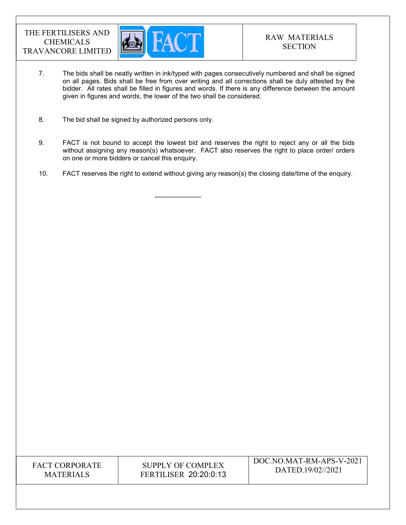

- 7. The bids shall be neatly written in ink/typed with pages consecutively numbered and shall be signed on all pages. Bids shall be free from over writing and all corrections shall be duly attested by the bidder. All rates shall be filled in figures and words. If there is any difference between the amount given in figures and words, the lower of the two shall be considered.
- 8. The bid shall be signed by authorized persons only.

---------------------

- 9. FACT is not bound to accept the lowest bid and reserves the right to reject any or all the bids without assigning any reason(s) whatsoever. FACT also reserves the right to place order/ orders on one or more bidders or cancel this enquiry.
- 10. FACT reserves the right to extend without giving any reason(s) the closing date/time of the enquiry.

FACT CORPORATE **MATERIALS**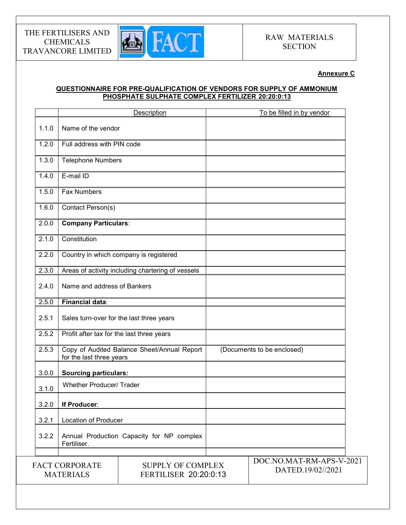

# Annexure C

# QUESTIONNAIRE FOR PRE-QUALIFICATION OF VENDORS FOR SUPPLY OF AMMONIUM PHOSPHATE SULPHATE COMPLEX FERTILIZER 20:20:0:13

|       |                                           | Description                                       | To be filled in by vendor                     |
|-------|-------------------------------------------|---------------------------------------------------|-----------------------------------------------|
| 1.1.0 | Name of the vendor                        |                                                   |                                               |
| 1.2.0 | Full address with PIN code                |                                                   |                                               |
| 1.3.0 | <b>Telephone Numbers</b>                  |                                                   |                                               |
| 1.4.0 | E-mail ID                                 |                                                   |                                               |
| 1.5.0 | <b>Fax Numbers</b>                        |                                                   |                                               |
| 1.6.0 | Contact Person(s)                         |                                                   |                                               |
| 2.0.0 | <b>Company Particulars:</b>               |                                                   |                                               |
| 2.1.0 | Constitution                              |                                                   |                                               |
| 2.2.0 |                                           | Country in which company is registered            |                                               |
| 2.3.0 |                                           | Areas of activity including chartering of vessels |                                               |
| 2.4.0 | Name and address of Bankers               |                                                   |                                               |
| 2.5.0 | <b>Financial data:</b>                    |                                                   |                                               |
| 2.5.1 | Sales turn-over for the last three years  |                                                   |                                               |
| 2.5.2 | Profit after tax for the last three years |                                                   |                                               |
| 2.5.3 | for the last three years                  | Copy of Audited Balance Sheet/Annual Report       | (Documents to be enclosed)                    |
| 3.0.0 | <b>Sourcing particulars:</b>              |                                                   |                                               |
| 3.1.0 | <b>Whether Producer/ Trader</b>           |                                                   |                                               |
| 3.2.0 | If Producer:                              |                                                   |                                               |
| 3.2.1 | Location of Producer                      |                                                   |                                               |
| 3.2.2 | Fertiliser.                               | Annual Production Capacity for NP complex         |                                               |
|       |                                           |                                                   |                                               |
|       | <b>FACT CORPORATE</b><br><b>MATERIALS</b> | <b>SUPPLY OF COMPLEX</b><br>FERTILISER 20:20:0:13 | DOC.NO.MAT-RM-APS-V-2021<br>DATED.19/02//2021 |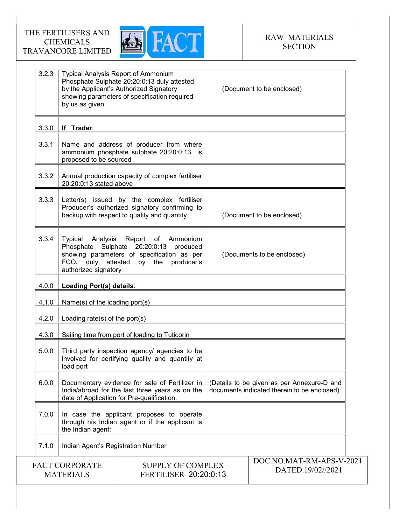

| 3.2.3 | <b>Typical Analysis Report of Ammonium</b><br>by us as given.     | Phosphate Sulphate 20:20:0:13 duly attested<br>by the Applicant's Authorized Signatory<br>showing parameters of specification required          | (Document to be enclosed)                                                                  |
|-------|-------------------------------------------------------------------|-------------------------------------------------------------------------------------------------------------------------------------------------|--------------------------------------------------------------------------------------------|
| 3.3.0 | If Trader:                                                        |                                                                                                                                                 |                                                                                            |
| 3.3.1 | proposed to be sourced                                            | Name and address of producer from where<br>ammonium phosphate sulphate 20:20:0:13 is                                                            |                                                                                            |
| 3.3.2 | 20:20:0:13 stated above                                           | Annual production capacity of complex fertiliser                                                                                                |                                                                                            |
| 3.3.3 |                                                                   | Letter(s) issued by the complex fertiliser<br>Producer's authorized signatory confirming to<br>backup with respect to quality and quantity      | (Document to be enclosed)                                                                  |
| 3.3.4 | Typical<br>Analysis<br>FCO, duly attested<br>authorized signatory | Report of Ammonium<br>Phosphate Sulphate 20:20:0:13 produced<br>showing parameters of specification as per<br>producer's<br>by the              | (Documents to be enclosed)                                                                 |
| 4.0.0 | Loading Port(s) details:                                          |                                                                                                                                                 |                                                                                            |
| 4.1.0 | Name(s) of the loading port(s)                                    |                                                                                                                                                 |                                                                                            |
| 4.2.0 | Loading rate(s) of the port(s)                                    |                                                                                                                                                 |                                                                                            |
| 4.3.0 |                                                                   | Sailing time from port of loading to Tuticorin                                                                                                  |                                                                                            |
| 5.0.0 | load port                                                         | Third party inspection agency/ agencies to be<br>involved for certifying quality and quantity at                                                |                                                                                            |
| 6.0.0 |                                                                   | Documentary evidence for sale of Fertilizer in<br>India/abroad for the last three years as on the<br>date of Application for Pre-qualification. | (Details to be given as per Annexure-D and<br>documents indicated therein to be enclosed). |
| 7.0.0 | the Indian agent:                                                 | In case the applicant proposes to operate<br>through his Indian agent or if the applicant is                                                    |                                                                                            |
| 7.1.0 | Indian Agent's Registration Number                                |                                                                                                                                                 |                                                                                            |
|       | <b>FACT CORPORATE</b><br><b>MATERIALS</b>                         | <b>SUPPLY OF COMPLEX</b><br><b>FERTILISER 20:20:0:13</b>                                                                                        | DOC.NO.MAT-RM-APS-V-2021<br>DATED.19/02//2021                                              |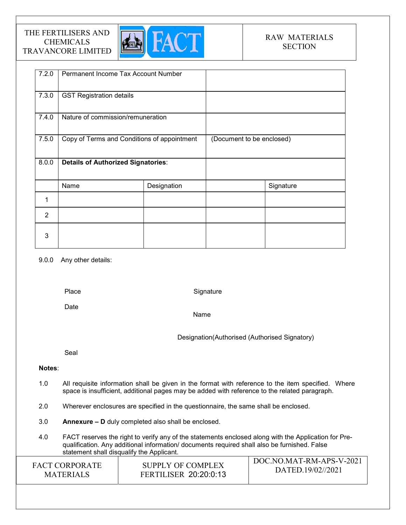

| 7.2.0          | Permanent Income Tax Account Number         |             |                           |           |
|----------------|---------------------------------------------|-------------|---------------------------|-----------|
| 7.3.0          | <b>GST Registration details</b>             |             |                           |           |
| 7.4.0          | Nature of commission/remuneration           |             |                           |           |
| 7.5.0          | Copy of Terms and Conditions of appointment |             | (Document to be enclosed) |           |
| 8.0.0          | <b>Details of Authorized Signatories:</b>   |             |                           |           |
|                | Name                                        | Designation |                           | Signature |
| 1              |                                             |             |                           |           |
| $\overline{2}$ |                                             |             |                           |           |
| 3              |                                             |             |                           |           |

### 9.0.0 Any other details:

Place

**Signature** 

Date

Name

Designation(Authorised (Authorised Signatory)

Seal

### Notes:

- 1.0 All requisite information shall be given in the format with reference to the item specified. Where space is insufficient, additional pages may be added with reference to the related paragraph.
- 2.0 Wherever enclosures are specified in the questionnaire, the same shall be enclosed.
- 3.0 Annexure D duly completed also shall be enclosed.
- 4.0 FACT reserves the right to verify any of the statements enclosed along with the Application for Prequalification. Any additional information/ documents required shall also be furnished. False statement shall disqualify the Applicant.

| <b>FACT CORPORATE</b> | SUPPLY OF COMPLEX            | DOC.NO.MAT-RM-APS-V-2021 |
|-----------------------|------------------------------|--------------------------|
| <b>MATERIALS</b>      | <b>FERTILISER 20:20:0:13</b> | DATED.19/02//2021        |
|                       |                              |                          |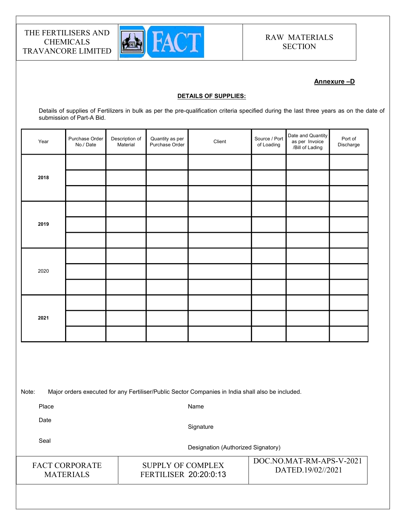

# Annexure –D

#### DETAILS OF SUPPLIES:

Details of supplies of Fertilizers in bulk as per the pre-qualification criteria specified during the last three years as on the date of submission of Part-A Bid.

| Year | Purchase Order<br>No./Date | Description of<br>Material | Quantity as per<br>Purchase Order | Client | Source / Port<br>of Loading | Date and Quantity<br>as per Invoice<br>/Bill of Lading | Port of<br>Discharge |  |
|------|----------------------------|----------------------------|-----------------------------------|--------|-----------------------------|--------------------------------------------------------|----------------------|--|
|      |                            |                            |                                   |        |                             |                                                        |                      |  |
| 2018 |                            |                            |                                   |        |                             |                                                        |                      |  |
|      |                            |                            |                                   |        |                             |                                                        |                      |  |
|      |                            |                            |                                   |        |                             |                                                        |                      |  |
| 2019 |                            |                            |                                   |        |                             |                                                        |                      |  |
|      |                            |                            |                                   |        |                             |                                                        |                      |  |
|      |                            |                            |                                   |        |                             |                                                        |                      |  |
| 2020 |                            |                            |                                   |        |                             |                                                        |                      |  |
|      |                            |                            |                                   |        |                             |                                                        |                      |  |
|      |                            |                            |                                   |        |                             |                                                        |                      |  |
| 2021 |                            |                            |                                   |        |                             |                                                        |                      |  |
|      |                            |                            |                                   |        |                             |                                                        |                      |  |
|      |                            |                            |                                   |        |                             |                                                        |                      |  |

Note: Major orders executed for any Fertiliser/Public Sector Companies in India shall also be included.

Place

Name

Date

**Signature** 

Seal

Designation (Authorized Signatory)

FACT CORPORATE **MATERIALS** 

SUPPLY OF COMPLEX FERTILISER 20:20:0:13

DOC.NO.MAT-RM-APS-V-2021 DATED.19/02//2021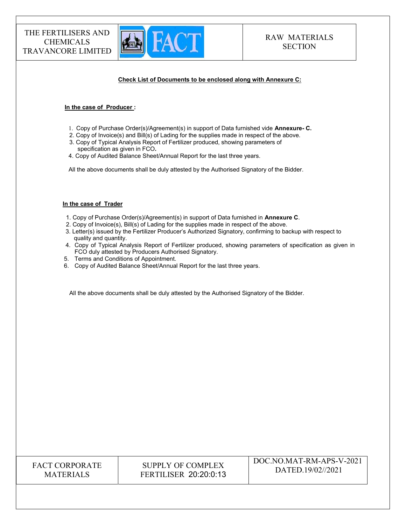

#### Check List of Documents to be enclosed along with Annexure C:

#### In the case of Producer :

- 1. Copy of Purchase Order(s)/Agreement(s) in support of Data furnished vide Annexure- C.
- 2. Copy of Invoice(s) and Bill(s) of Lading for the supplies made in respect of the above.
- 3. Copy of Typical Analysis Report of Fertilizer produced, showing parameters of specification as given in FCO.
- 4. Copy of Audited Balance Sheet/Annual Report for the last three years.

All the above documents shall be duly attested by the Authorised Signatory of the Bidder.

#### In the case of Trader

- 1. Copy of Purchase Order(s)/Agreement(s) in support of Data furnished in Annexure C.
- 2. Copy of Invoice(s), Bill(s) of Lading for the supplies made in respect of the above.
- 3. Letter(s) issued by the Fertilizer Producer's Authorized Signatory, confirming to backup with respect to quality and quantity.
- 4. Copy of Typical Analysis Report of Fertilizer produced, showing parameters of specification as given in FCO duly attested by Producers Authorised Signatory.
- 5. Terms and Conditions of Appointment.
- 6. Copy of Audited Balance Sheet/Annual Report for the last three years.

All the above documents shall be duly attested by the Authorised Signatory of the Bidder.

| <b>FACT CORPORATE</b> |
|-----------------------|
| <b>MATERIALS</b>      |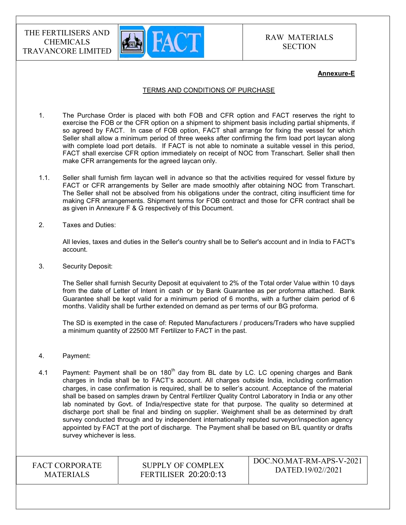

#### Annexure-E

#### TERMS AND CONDITIONS OF PURCHASE

- 1. The Purchase Order is placed with both FOB and CFR option and FACT reserves the right to exercise the FOB or the CFR option on a shipment to shipment basis including partial shipments, if so agreed by FACT. In case of FOB option, FACT shall arrange for fixing the vessel for which Seller shall allow a minimum period of three weeks after confirming the firm load port laycan along with complete load port details. If FACT is not able to nominate a suitable vessel in this period, FACT shall exercise CFR option immediately on receipt of NOC from Transchart. Seller shall then make CFR arrangements for the agreed laycan only.
- 1.1. Seller shall furnish firm laycan well in advance so that the activities required for vessel fixture by FACT or CFR arrangements by Seller are made smoothly after obtaining NOC from Transchart. The Seller shall not be absolved from his obligations under the contract, citing insufficient time for making CFR arrangements. Shipment terms for FOB contract and those for CFR contract shall be as given in Annexure F & G respectively of this Document.
- 2. Taxes and Duties:

All levies, taxes and duties in the Seller's country shall be to Seller's account and in India to FACT's account.

3. Security Deposit:

The Seller shall furnish Security Deposit at equivalent to 2% of the Total order Value within 10 days from the date of Letter of Intent in cash or by Bank Guarantee as per proforma attached. Bank Guarantee shall be kept valid for a minimum period of 6 months, with a further claim period of 6 months. Validity shall be further extended on demand as per terms of our BG proforma.

The SD is exempted in the case of: Reputed Manufacturers / producers/Traders who have supplied a minimum quantity of 22500 MT Fertilizer to FACT in the past.

- 4. Payment:
- 4.1 Payment: Payment shall be on  $180<sup>th</sup>$  day from BL date by LC. LC opening charges and Bank charges in India shall be to FACT's account. All charges outside India, including confirmation charges, in case confirmation is required, shall be to seller's account. Acceptance of the material shall be based on samples drawn by Central Fertilizer Quality Control Laboratory in India or any other lab nominated by Govt. of India/respective state for that purpose. The quality so determined at discharge port shall be final and binding on supplier. Weighment shall be as determined by draft survey conducted through and by independent internationally reputed surveyor/inspection agency appointed by FACT at the port of discharge. The Payment shall be based on B/L quantity or drafts survey whichever is less.

FACT CORPORATE MATERIALS

SUPPLY OF COMPLEX FERTILISER 20:20:0:13 DOC.NO.MAT-RM-APS-V-2021 DATED.19/02//2021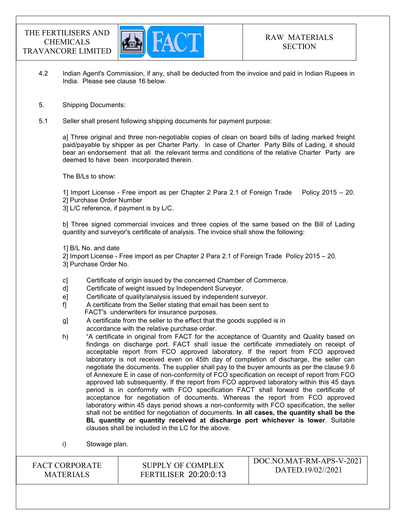

 $\sqrt{20200}$ 

- 4.2 Indian Agent's Commission, if any, shall be deducted from the invoice and paid in Indian Rupees in India. Please see clause 16 below.
- 5. Shipping Documents:
- 5.1 Seller shall present following shipping documents for payment purpose:

a] Three original and three non-negotiable copies of clean on board bills of lading marked freight paid/payable by shipper as per Charter Party. In case of Charter Party Bills of Lading, it should bear an endorsement that all the relevant terms and conditions of the relative Charter Party are deemed to have been incorporated therein.

The B/Ls to show:

1] Import License - Free import as per Chapter 2 Para 2.1 of Foreign Trade Policy 2015 – 20. 2] Purchase Order Number

3] L/C reference, if payment is by L/C.

b] Three signed commercial invoices and three copies of the same based on the Bill of Lading quantity and surveyor's certificate of analysis. The invoice shall show the following:

1] B/L No. and date

2] Import License - Free import as per Chapter 2 Para 2.1 of Foreign Trade Policy 2015 – 20. 3] Purchase Order No.

- c] Certificate of origin issued by the concerned Chamber of Commerce.
- d] Certificate of weight issued by Independent Surveyor.
- e] Certificate of quality/analysis issued by independent surveyor.
- f] A certificate from the Seller stating that email has been sent to FACT's underwriters for insurance purposes.
- g] A certificate from the seller to the effect that the goods supplied is in accordance with the relative purchase order.
- h) "A certificate in original from FACT for the acceptance of Quantity and Quality based on findings on discharge port. FACT shall issue the certificate immediately on receipt of acceptable report from FCO approved laboratory. If the report from FCO approved laboratory is not received even on 45th day of completion of discharge, the seller can negotiate the documents. The supplier shall pay to the buyer amounts as per the clause 9.6 of Annexure E in case of non-conformity of FCO specification on receipt of report from FCO approved lab subsequently. If the report from FCO approved laboratory within this 45 days period is in conformity with FCO specification FACT shall forward the certificate of acceptance for negotiation of documents. Whereas the report from FCO approved laboratory within 45 days period shows a non-conformity with FCO specification, the seller shall not be entitled for negotiation of documents. In all cases, the quantity shall be the BL quantity or quantity received at discharge port whichever is lower. Suitable clauses shall be included in the LC for the above.
- i) Stowage plan.

| <b>FACT CORPORATE</b> | SUPPLY OF COMPLEX            | - DOC.NO.MAT-RM-APS-V-2021 |
|-----------------------|------------------------------|----------------------------|
| <b>MATERIALS</b>      | <b>FERTILISER 20:20:0:13</b> | DATED.19/02//2021          |
|                       |                              |                            |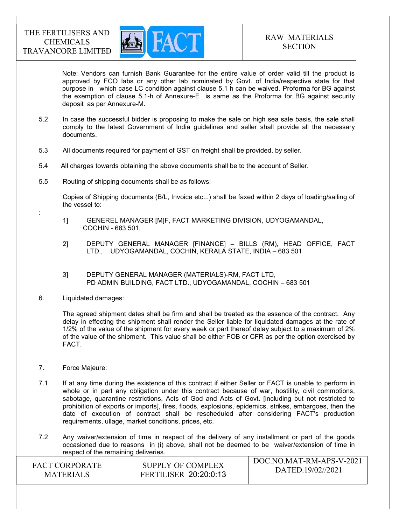

Note: Vendors can furnish Bank Guarantee for the entire value of order valid till the product is approved by FCO labs or any other lab nominated by Govt. of India/respective state for that purpose in which case LC condition against clause 5.1 h can be waived. Proforma for BG against the exemption of clause 5.1-h of Annexure-E is same as the Proforma for BG against security deposit as per Annexure-M.

- 5.2 In case the successful bidder is proposing to make the sale on high sea sale basis, the sale shall comply to the latest Government of India guidelines and seller shall provide all the necessary documents.
- 5.3 All documents required for payment of GST on freight shall be provided, by seller.
- 5.4 All charges towards obtaining the above documents shall be to the account of Seller.
- 5.5 Routing of shipping documents shall be as follows:

 Copies of Shipping documents (B/L, Invoice etc...) shall be faxed within 2 days of loading/sailing of the vessel to:

- 1] GENEREL MANAGER [M]F, FACT MARKETING DIVISION, UDYOGAMANDAL, COCHIN - 683 501.
- 2] DEPUTY GENERAL MANAGER [FINANCE] BILLS (RM), HEAD OFFICE, FACT LTD., UDYOGAMANDAL, COCHIN, KERALA STATE, INDIA – 683 501
- 3] DEPUTY GENERAL MANAGER (MATERIALS)-RM, FACT LTD, PD ADMIN BUILDING, FACT LTD., UDYOGAMANDAL, COCHIN – 683 501
- 6. Liquidated damages:

:

The agreed shipment dates shall be firm and shall be treated as the essence of the contract. Any delay in effecting the shipment shall render the Seller liable for liquidated damages at the rate of 1/2% of the value of the shipment for every week or part thereof delay subject to a maximum of 2% of the value of the shipment. This value shall be either FOB or CFR as per the option exercised by **FACT.** 

- 7. Force Majeure:
- 7.1 If at any time during the existence of this contract if either Seller or FACT is unable to perform in whole or in part any obligation under this contract because of war, hostility, civil commotions, sabotage, quarantine restrictions, Acts of God and Acts of Govt. [including but not restricted to prohibition of exports or imports], fires, floods, explosions, epidemics, strikes, embargoes, then the date of execution of contract shall be rescheduled after considering FACT's production requirements, ullage, market conditions, prices, etc.
- 7.2 Any waiver/extension of time in respect of the delivery of any installment or part of the goods occasioned due to reasons in (i) above, shall not be deemed to be waiver/extension of time in respect of the remaining deliveries.

| SUPPLY OF COMPLEX<br><b>FACT CORPORATE</b><br>DATED.19/02//2021<br><b>FERTILISER 20:20:0:13</b><br><b>MATERIALS</b> |  |  | DOC.NO.MAT-RM-APS-V-2021 |
|---------------------------------------------------------------------------------------------------------------------|--|--|--------------------------|
|---------------------------------------------------------------------------------------------------------------------|--|--|--------------------------|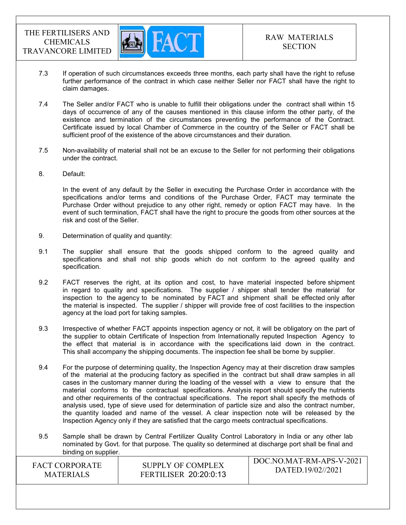

- 7.3 If operation of such circumstances exceeds three months, each party shall have the right to refuse further performance of the contract in which case neither Seller nor FACT shall have the right to claim damages.
- 7.4 The Seller and/or FACT who is unable to fulfill their obligations under the contract shall within 15 days of occurrence of any of the causes mentioned in this clause inform the other party, of the existence and termination of the circumstances preventing the performance of the Contract. Certificate issued by local Chamber of Commerce in the country of the Seller or FACT shall be sufficient proof of the existence of the above circumstances and their duration.
- 7.5 Non-availability of material shall not be an excuse to the Seller for not performing their obligations under the contract.
- 8. Default:

In the event of any default by the Seller in executing the Purchase Order in accordance with the specifications and/or terms and conditions of the Purchase Order, FACT may terminate the Purchase Order without prejudice to any other right, remedy or option FACT may have. In the event of such termination, FACT shall have the right to procure the goods from other sources at the risk and cost of the Seller.

- 9. Determination of quality and quantity:
- 9.1 The supplier shall ensure that the goods shipped conform to the agreed quality and specifications and shall not ship goods which do not conform to the agreed quality and specification.
- 9.2 FACT reserves the right, at its option and cost, to have material inspected before shipment in regard to quality and specifications. The supplier / shipper shall tender the material for inspection to the agency to be nominated by FACT and shipment shall be effected only after the material is inspected. The supplier / shipper will provide free of cost facilities to the inspection agency at the load port for taking samples.
- 9.3 Irrespective of whether FACT appoints inspection agency or not, it will be obligatory on the part of the supplier to obtain Certificate of Inspection from Internationally reputed Inspection Agency to the effect that material is in accordance with the specifications laid down in the contract. This shall accompany the shipping documents. The inspection fee shall be borne by supplier.
- 9.4 For the purpose of determining quality, the Inspection Agency may at their discretion draw samples of the material at the producing factory as specified in the contract but shall draw samples in all cases in the customary manner during the loading of the vessel with a view to ensure that the material conforms to the contractual specifications. Analysis report should specify the nutrients and other requirements of the contractual specifications. The report shall specify the methods of analysis used, type of sieve used for determination of particle size and also the contract number, the quantity loaded and name of the vessel. A clear inspection note will be released by the Inspection Agency only if they are satisfied that the cargo meets contractual specifications.
- 9.5 Sample shall be drawn by Central Fertilizer Quality Control Laboratory in India or any other lab nominated by Govt. for that purpose. The quality so determined at discharge port shall be final and binding on supplier.

| SUPPLY OF COMPLEX<br><b>FACT CORPORATE</b><br>DATED.19/02//2021<br><b>FERTILISER 20:20:0:13</b><br><b>MATERIALS</b> |
|---------------------------------------------------------------------------------------------------------------------|
|---------------------------------------------------------------------------------------------------------------------|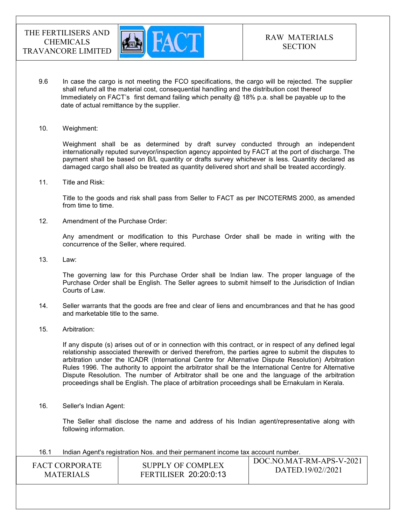

- 9.6 In case the cargo is not meeting the FCO specifications, the cargo will be rejected. The supplier shall refund all the material cost, consequential handling and the distribution cost thereof Immediately on FACT's first demand failing which penalty  $@$  18% p.a. shall be payable up to the date of actual remittance by the supplier.
- 10. Weighment:

 Weighment shall be as determined by draft survey conducted through an independent internationally reputed surveyor/inspection agency appointed by FACT at the port of discharge. The payment shall be based on B/L quantity or drafts survey whichever is less. Quantity declared as damaged cargo shall also be treated as quantity delivered short and shall be treated accordingly.

11. Title and Risk:

Title to the goods and risk shall pass from Seller to FACT as per INCOTERMS 2000, as amended from time to time.

12. Amendment of the Purchase Order:

Any amendment or modification to this Purchase Order shall be made in writing with the concurrence of the Seller, where required.

13. Law:

The governing law for this Purchase Order shall be Indian law. The proper language of the Purchase Order shall be English. The Seller agrees to submit himself to the Jurisdiction of Indian Courts of Law.

- 14. Seller warrants that the goods are free and clear of liens and encumbrances and that he has good and marketable title to the same.
- 15. Arbitration:

If any dispute (s) arises out of or in connection with this contract, or in respect of any defined legal relationship associated therewith or derived therefrom, the parties agree to submit the disputes to arbitration under the ICADR (International Centre for Alternative Dispute Resolution) Arbitration Rules 1996. The authority to appoint the arbitrator shall be the International Centre for Alternative Dispute Resolution. The number of Arbitrator shall be one and the language of the arbitration proceedings shall be English. The place of arbitration proceedings shall be Ernakulam in Kerala.

16. Seller's Indian Agent:

The Seller shall disclose the name and address of his Indian agent/representative along with following information.

16.1 Indian Agent's registration Nos. and their permanent income tax account number.

| <b>FACT CORPORATE</b><br><b>MATERIALS</b> | SUPPLY OF COMPLEX<br><b>FERTILISER 20:20:0:13</b> | DOC.NO.MAT-RM-APS-V-2021<br>DATED.19/02//2021 |
|-------------------------------------------|---------------------------------------------------|-----------------------------------------------|
|                                           |                                                   |                                               |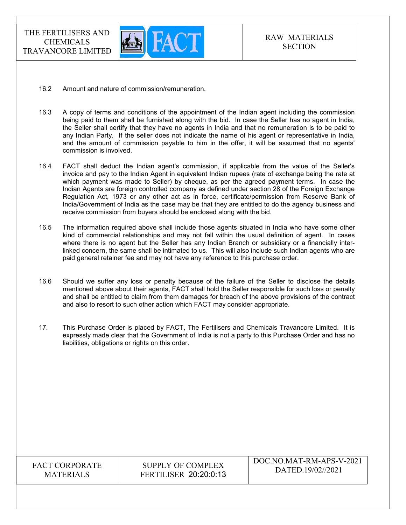

- 16.2 Amount and nature of commission/remuneration.
- 16.3 A copy of terms and conditions of the appointment of the Indian agent including the commission being paid to them shall be furnished along with the bid. In case the Seller has no agent in India, the Seller shall certify that they have no agents in India and that no remuneration is to be paid to any Indian Party. If the seller does not indicate the name of his agent or representative in India, and the amount of commission payable to him in the offer, it will be assumed that no agents' commission is involved.
- 16.4 FACT shall deduct the Indian agent's commission, if applicable from the value of the Seller's invoice and pay to the Indian Agent in equivalent Indian rupees (rate of exchange being the rate at which payment was made to Seller) by cheque, as per the agreed payment terms. In case the Indian Agents are foreign controlled company as defined under section 28 of the Foreign Exchange Regulation Act, 1973 or any other act as in force, certificate/permission from Reserve Bank of India/Government of India as the case may be that they are entitled to do the agency business and receive commission from buyers should be enclosed along with the bid.
- 16.5 The information required above shall include those agents situated in India who have some other kind of commercial relationships and may not fall within the usual definition of agent. In cases where there is no agent but the Seller has any Indian Branch or subsidiary or a financially interlinked concern, the same shall be intimated to us. This will also include such Indian agents who are paid general retainer fee and may not have any reference to this purchase order.
- 16.6 Should we suffer any loss or penalty because of the failure of the Seller to disclose the details mentioned above about their agents, FACT shall hold the Seller responsible for such loss or penalty and shall be entitled to claim from them damages for breach of the above provisions of the contract and also to resort to such other action which FACT may consider appropriate.
- 17. This Purchase Order is placed by FACT, The Fertilisers and Chemicals Travancore Limited. It is expressly made clear that the Government of India is not a party to this Purchase Order and has no liabilities, obligations or rights on this order.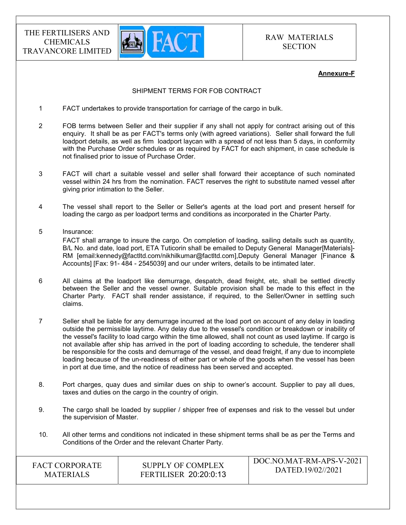

#### Annexure-F

### SHIPMENT TERMS FOR FOB CONTRACT

- 1 FACT undertakes to provide transportation for carriage of the cargo in bulk.
- 2 FOB terms between Seller and their supplier if any shall not apply for contract arising out of this enquiry. It shall be as per FACT's terms only (with agreed variations). Seller shall forward the full loadport details, as well as firm loadport laycan with a spread of not less than 5 days, in conformity with the Purchase Order schedules or as required by FACT for each shipment, in case schedule is not finalised prior to issue of Purchase Order.
- 3 FACT will chart a suitable vessel and seller shall forward their acceptance of such nominated vessel within 24 hrs from the nomination. FACT reserves the right to substitute named vessel after giving prior intimation to the Seller.
- 4 The vessel shall report to the Seller or Seller's agents at the load port and present herself for loading the cargo as per loadport terms and conditions as incorporated in the Charter Party.
- 5 Insurance:

 FACT shall arrange to insure the cargo. On completion of loading, sailing details such as quantity, B/L No. and date, load port, ETA Tuticorin shall be emailed to Deputy General Manager[Materials]- RM [email:kennedy@factltd.com/nikhilkumar@factltd.com],Deputy General Manager [Finance & Accounts] [Fax: 91- 484 - 2545039] and our under writers, details to be intimated later.

- 6 All claims at the loadport like demurrage, despatch, dead freight, etc, shall be settled directly between the Seller and the vessel owner. Suitable provision shall be made to this effect in the Charter Party. FACT shall render assistance, if required, to the Seller/Owner in settling such claims.
- 7 Seller shall be liable for any demurrage incurred at the load port on account of any delay in loading outside the permissible laytime. Any delay due to the vessel's condition or breakdown or inability of the vessel's facility to load cargo within the time allowed, shall not count as used laytime. If cargo is not available after ship has arrived in the port of loading according to schedule, the tenderer shall be responsible for the costs and demurrage of the vessel, and dead freight, if any due to incomplete loading because of the un-readiness of either part or whole of the goods when the vessel has been in port at due time, and the notice of readiness has been served and accepted.
- 8. Port charges, quay dues and similar dues on ship to owner's account. Supplier to pay all dues, taxes and duties on the cargo in the country of origin.
- 9. The cargo shall be loaded by supplier / shipper free of expenses and risk to the vessel but under the supervision of Master.
- 10. All other terms and conditions not indicated in these shipment terms shall be as per the Terms and Conditions of the Order and the relevant Charter Party.

| FACT CORPORATE   | SUPPLY OF COMPLEX            | DOC.NO.MAT-RM-APS-V-2021 |
|------------------|------------------------------|--------------------------|
| <b>MATERIALS</b> | <b>FERTILISER 20:20:0:13</b> | DATED.19/02//2021        |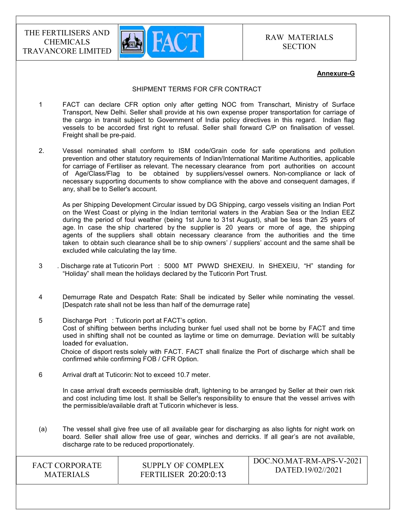

#### Annexure-G

#### SHIPMENT TERMS FOR CFR CONTRACT

- 1 FACT can declare CFR option only after getting NOC from Transchart, Ministry of Surface Transport, New Delhi. Seller shall provide at his own expense proper transportation for carriage of the cargo in transit subject to Government of India policy directives in this regard. Indian flag vessels to be accorded first right to refusal. Seller shall forward C/P on finalisation of vessel. Freight shall be pre-paid.
- 2. Vessel nominated shall conform to ISM code/Grain code for safe operations and pollution prevention and other statutory requirements of Indian/International Maritime Authorities, applicable for carriage of Fertiliser as relevant. The necessary clearance from port authorities on account of Age/Class/Flag to be obtained by suppliers/vessel owners. Non-compliance or lack of necessary supporting documents to show compliance with the above and consequent damages, if any, shall be to Seller's account.

 As per Shipping Development Circular issued by DG Shipping, cargo vessels visiting an Indian Port on the West Coast or plying in the Indian territorial waters in the Arabian Sea or the Indian EEZ during the period of foul weather (being 1st June to 31st August), shall be less than 25 years of age. In case the ship chartered by the supplier is 20 years or more of age, the shipping agents of the suppliers shall obtain necessary clearance from the authorities and the time taken to obtain such clearance shall be to ship owners' / suppliers' account and the same shall be excluded while calculating the lay time.

- 3 . Discharge rate at Tuticorin Port : 5000 MT PWWD SHEXEIU. In SHEXEIU, "H" standing for "Holiday" shall mean the holidays declared by the Tuticorin Port Trust.
- 4 Demurrage Rate and Despatch Rate: Shall be indicated by Seller while nominating the vessel. [Despatch rate shall not be less than half of the demurrage rate]
- 5 Discharge Port : Tuticorin port at FACT's option. Cost of shifting between berths including bunker fuel used shall not be borne by FACT and time used in shifting shall not be counted as laytime or time on demurrage. Deviation will be suitably loaded for evaluation. Choice of disport rests solely with FACT. FACT shall finalize the Port of discharge which shall be confirmed while confirming FOB / CFR Option.
- 6 Arrival draft at Tuticorin: Not to exceed 10.7 meter.

 In case arrival draft exceeds permissible draft, lightening to be arranged by Seller at their own risk and cost including time lost. It shall be Seller's responsibility to ensure that the vessel arrives with the permissible/available draft at Tuticorin whichever is less.

(a) The vessel shall give free use of all available gear for discharging as also lights for night work on board. Seller shall allow free use of gear, winches and derricks. If all gear's are not available, discharge rate to be reduced proportionately.

| <b>FACT CORPORATE</b> | <b>SUPPLY OF COMPLEX</b>     | DOC.NO.MAT-RM-APS-V-2021 |
|-----------------------|------------------------------|--------------------------|
| <b>MATERIALS</b>      | <b>FERTILISER 20:20:0:13</b> | DATED.19/02//2021        |
|                       |                              |                          |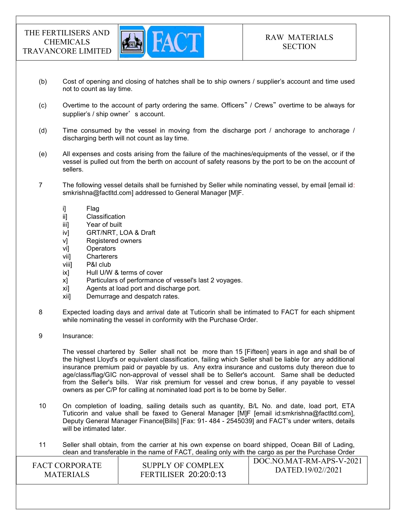

- (b) Cost of opening and closing of hatches shall be to ship owners / supplier's account and time used not to count as lay time.
- (c) Overtime to the account of party ordering the same. Officers" / Crews" overtime to be always for supplier's / ship owner's account.
- (d) Time consumed by the vessel in moving from the discharge port / anchorage to anchorage / discharging berth will not count as lay time.
- (e) All expenses and costs arising from the failure of the machines/equipments of the vessel, or if the vessel is pulled out from the berth on account of safety reasons by the port to be on the account of sellers.
- 7 The following vessel details shall be furnished by Seller while nominating vessel, by email [email id: smkrishna@factltd.com] addressed to General Manager [M]F.
	- i] Flag
	- ii] Classification
	- iii] Year of built
	- iv] GRT/NRT, LOA & Draft
	- v] Registered owners
	- vi] Operators
	- vii] Charterers
	- viii] P&I club
	- ix] Hull U/W & terms of cover
	- x] Particulars of performance of vessel's last 2 voyages.
	- xi] Agents at load port and discharge port.
	- xii] Demurrage and despatch rates.
- 8 Expected loading days and arrival date at Tuticorin shall be intimated to FACT for each shipment while nominating the vessel in conformity with the Purchase Order.
- 9 Insurance:

 The vessel chartered by Seller shall not be more than 15 [Fifteen] years in age and shall be of the highest Lloyd's or equivalent classification, failing which Seller shall be liable for any additional insurance premium paid or payable by us. Any extra insurance and customs duty thereon due to age/class/flag/GIC non-approval of vessel shall be to Seller's account. Same shall be deducted from the Seller's bills. War risk premium for vessel and crew bonus, if any payable to vessel owners as per C/P for calling at nominated load port is to be borne by Seller.

- 10 On completion of loading, sailing details such as quantity, B/L No. and date, load port, ETA Tuticorin and value shall be faxed to General Manager [M]F [email id:smkrishna@factltd.com], Deputy General Manager Finance[Bills] [Fax: 91- 484 - 2545039] and FACT's under writers, details will be intimated later.
- 11 Seller shall obtain, from the carrier at his own expense on board shipped, Ocean Bill of Lading, clean and transferable in the name of FACT, dealing only with the cargo as per the Purchase Order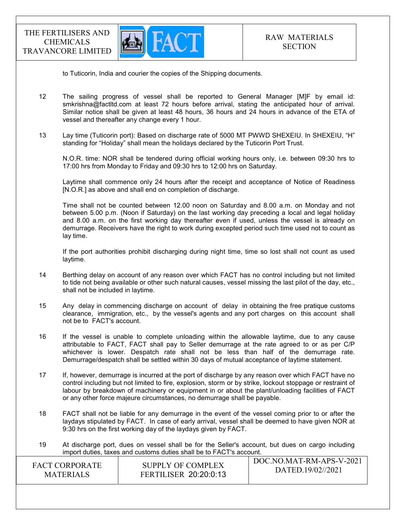

to Tuticorin, India and courier the copies of the Shipping documents.

- 12 The sailing progress of vessel shall be reported to General Manager [M]F by email id: smkrishna@factltd.com at least 72 hours before arrival, stating the anticipated hour of arrival. Similar notice shall be given at least 48 hours, 36 hours and 24 hours in advance of the ETA of vessel and thereafter any change every 1 hour.
- 13 Lay time (Tuticorin port): Based on discharge rate of 5000 MT PWWD SHEXEIU. In SHEXEIU, "H" standing for "Holiday" shall mean the holidays declared by the Tuticorin Port Trust.

 N.O.R. time: NOR shall be tendered during official working hours only, i.e. between 09:30 hrs to 17:00 hrs from Monday to Friday and 09:30 hrs to 12:00 hrs on Saturday.

 Laytime shall commence only 24 hours after the receipt and acceptance of Notice of Readiness [N.O.R.] as above and shall end on completion of discharge.

 Time shall not be counted between 12.00 noon on Saturday and 8.00 a.m. on Monday and not between 5.00 p.m. (Noon if Saturday) on the last working day preceding a local and legal holiday and 8.00 a.m. on the first working day thereafter even if used, unless the vessel is already on demurrage. Receivers have the right to work during excepted period such time used not to count as lay time.

 If the port authorities prohibit discharging during night time, time so lost shall not count as used laytime.

- 14 Berthing delay on account of any reason over which FACT has no control including but not limited to tide not being available or other such natural causes, vessel missing the last pilot of the day, etc., shall not be included in laytime.
- 15 Any delay in commencing discharge on account of delay in obtaining the free pratique customs clearance, immigration, etc., by the vessel's agents and any port charges on this account shall not be to FACT's account.
- 16 If the vessel is unable to complete unloading within the allowable laytime, due to any cause attributable to FACT, FACT shall pay to Seller demurrage at the rate agreed to or as per C/P whichever is lower. Despatch rate shall not be less than half of the demurrage rate. Demurrage/despatch shall be settled within 30 days of mutual acceptance of laytime statement.
- 17 If, however, demurrage is incurred at the port of discharge by any reason over which FACT have no control including but not limited to fire, explosion, storm or by strike, lockout stoppage or restraint of labour by breakdown of machinery or equipment in or about the plant/unloading facilities of FACT or any other force majeure circumstances, no demurrage shall be payable.
- 18 FACT shall not be liable for any demurrage in the event of the vessel coming prior to or after the laydays stipulated by FACT. In case of early arrival, vessel shall be deemed to have given NOR at 9:30 hrs on the first working day of the laydays given by FACT.
- 19 At discharge port, dues on vessel shall be for the Seller's account, but dues on cargo including import duties, taxes and customs duties shall be to FACT's account.

| <b>FACT CORPORATE</b> | SUPPLY OF COMPLEX            | DOC.NO.MAT-RM-APS-V-2021 |
|-----------------------|------------------------------|--------------------------|
| <b>MATERIALS</b>      | <b>FERTILISER 20:20:0:13</b> | DATED.19/02//2021        |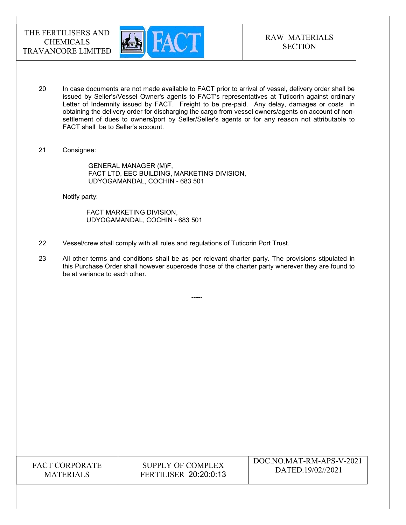

- 20 In case documents are not made available to FACT prior to arrival of vessel, delivery order shall be issued by Seller's/Vessel Owner's agents to FACT's representatives at Tuticorin against ordinary Letter of Indemnity issued by FACT. Freight to be pre-paid. Any delay, damages or costs in obtaining the delivery order for discharging the cargo from vessel owners/agents on account of nonsettlement of dues to owners/port by Seller/Seller's agents or for any reason not attributable to FACT shall be to Seller's account.
- 21 Consignee:

 GENERAL MANAGER (M)F, FACT LTD, EEC BUILDING, MARKETING DIVISION, UDYOGAMANDAL, COCHIN - 683 501

Notify party:

 FACT MARKETING DIVISION, UDYOGAMANDAL, COCHIN - 683 501

- 22 Vessel/crew shall comply with all rules and regulations of Tuticorin Port Trust.
- 23 All other terms and conditions shall be as per relevant charter party. The provisions stipulated in this Purchase Order shall however supercede those of the charter party wherever they are found to be at variance to each other.

-----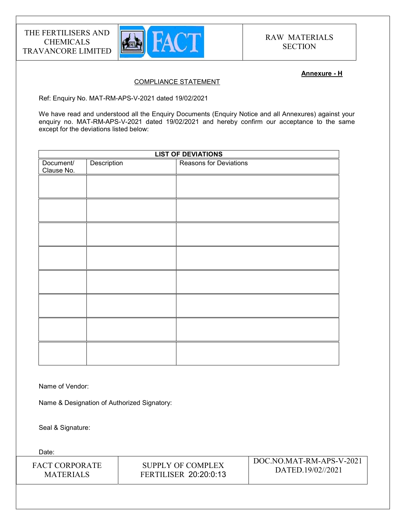

### Annexure - H

### COMPLIANCE STATEMENT

Ref: Enquiry No. MAT-RM-APS-V-2021 dated 19/02/2021

We have read and understood all the Enquiry Documents (Enquiry Notice and all Annexures) against your enquiry no. MAT-RM-APS-V-2021 dated 19/02/2021 and hereby confirm our acceptance to the same except for the deviations listed below:

| <b>LIST OF DEVIATIONS</b> |             |                               |
|---------------------------|-------------|-------------------------------|
| Document/<br>Clause No.   | Description | <b>Reasons for Deviations</b> |
|                           |             |                               |
|                           |             |                               |
|                           |             |                               |
|                           |             |                               |
|                           |             |                               |
|                           |             |                               |
|                           |             |                               |
|                           |             |                               |
|                           |             |                               |

Name of Vendor:

Name & Designation of Authorized Signatory:

Seal & Signature:

Date:

| <b>FACT CORPORATE</b> | SUPPLY OF COMPLEX            | DOC.NO.MAT-RM-APS-V-2021 |
|-----------------------|------------------------------|--------------------------|
| <b>MATERIALS</b>      | <b>FERTILISER 20:20:0:13</b> | DATED.19/02//2021        |
|                       |                              |                          |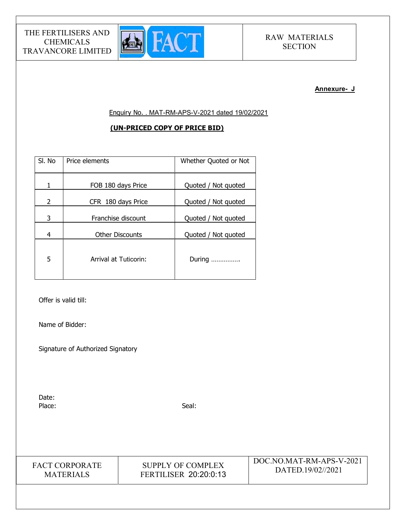

#### Annexure- J

Enquiry No. . MAT-RM-APS-V-2021 dated 19/02/2021

### (UN-PRICED COPY OF PRICE BID)

| SI. No | Price elements         | Whether Quoted or Not |
|--------|------------------------|-----------------------|
| 1      | FOB 180 days Price     | Quoted / Not quoted   |
| 2      | CFR 180 days Price     | Quoted / Not quoted   |
| 3      | Franchise discount     | Quoted / Not quoted   |
| 4      | <b>Other Discounts</b> | Quoted / Not quoted   |
| 5      | Arrival at Tuticorin:  | During                |

Offer is valid till:

Name of Bidder:

Signature of Authorized Signatory

Date: Place: Seal: Seal: Seal: Seal: Seal: Seal: Seal: Seal: Seal: Seal: Seal: Seal: Seal: Seal: Seal: Seal: Seal: Seal: Seal: Seal: Seal: Seal: Seal: Seal: Seal: Seal: Seal: Seal: Seal: Seal: Seal: Seal: Seal: Seal: Seal: Seal:

FACT CORPORATE MATERIALS

SUPPLY OF COMPLEX FERTILISER 20:20:0:13 DOC.NO.MAT-RM-APS-V-2021 DATED.19/02//2021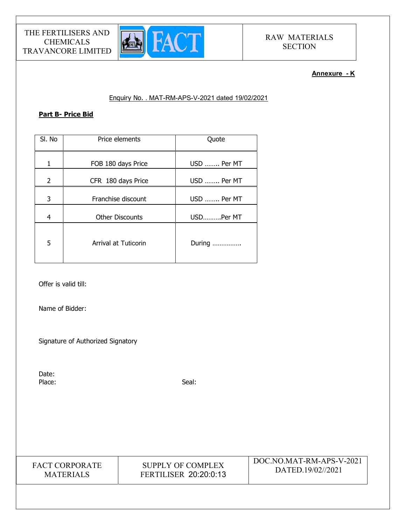

### Annexure - K

### Enquiry No. . MAT-RM-APS-V-2021 dated 19/02/2021

### Part B- Price Bid

| SI. No | Price elements              | Quote       |
|--------|-----------------------------|-------------|
| 1      | FOB 180 days Price          | USD  Per MT |
| 2      | CFR 180 days Price          | USD  Per MT |
| 3      | Franchise discount          | USD  Per MT |
| 4      | <b>Other Discounts</b>      | USDPer MT   |
| 5      | <b>Arrival at Tuticorin</b> | During      |

Offer is valid till:

Name of Bidder:

Signature of Authorized Signatory

Date: Place: Seal: Seal: Seal: Seal: Seal: Seal: Seal: Seal: Seal: Seal: Seal: Seal: Seal: Seal: Seal: Seal: Seal: Seal: Seal: Seal: Seal: Seal: Seal: Seal: Seal: Seal: Seal: Seal: Seal: Seal: Seal: Seal: Seal: Seal: Seal: Seal:



SUPPLY OF COMPLEX FERTILISER 20:20:0:13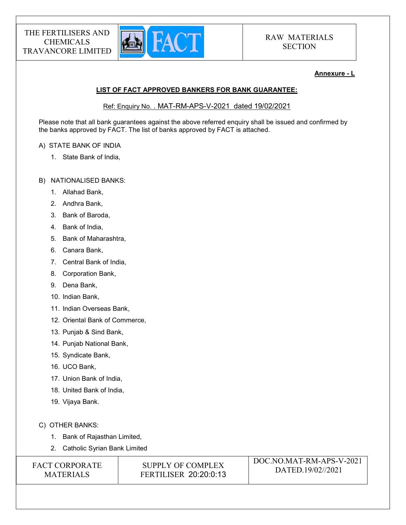

### Annexure - L

# LIST OF FACT APPROVED BANKERS FOR BANK GUARANTEE:

Ref: Enquiry No. . MAT-RM-APS-V-2021 dated 19/02/2021

Please note that all bank guarantees against the above referred enquiry shall be issued and confirmed by the banks approved by FACT. The list of banks approved by FACT is attached.

### A) STATE BANK OF INDIA

- 1. State Bank of India,
- B) NATIONALISED BANKS:
	- 1. Allahad Bank,
	- 2. Andhra Bank,
	- 3. Bank of Baroda,
	- 4. Bank of India,
	- 5. Bank of Maharashtra,
	- 6. Canara Bank,
	- 7. Central Bank of India,
	- 8. Corporation Bank,
	- 9. Dena Bank,
	- 10. Indian Bank,
	- 11. Indian Overseas Bank,
	- 12. Oriental Bank of Commerce,
	- 13. Punjab & Sind Bank,
	- 14. Punjab National Bank,
	- 15. Syndicate Bank,
	- 16. UCO Bank,
	- 17. Union Bank of India,
	- 18. United Bank of India,
	- 19. Vijaya Bank.
- C) OTHER BANKS:
	- 1. Bank of Rajasthan Limited,
	- 2. Catholic Syrian Bank Limited

| <b>FACT CORPORATE</b> | SUPPLY OF COMPLEX            | DOC.NO.MAT-RM-APS-V-2021 |
|-----------------------|------------------------------|--------------------------|
| <b>MATERIALS</b>      | <b>FERTILISER 20:20:0:13</b> | DATED.19/02//2021        |
|                       |                              |                          |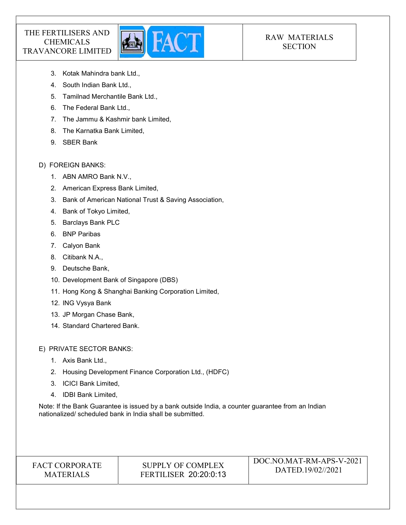

# RAW MATERIALS **SECTION**

- 3. Kotak Mahindra bank Ltd.,
- 4. South Indian Bank Ltd.,
- 5. Tamilnad Merchantile Bank Ltd.,
- 6. The Federal Bank Ltd.,
- 7. The Jammu & Kashmir bank Limited,
- 8. The Karnatka Bank Limited,
- 9. SBER Bank

# D) FOREIGN BANKS:

- 1. ABN AMRO Bank N.V.,
- 2. American Express Bank Limited,
- 3. Bank of American National Trust & Saving Association,
- 4. Bank of Tokyo Limited,
- 5. Barclays Bank PLC
- 6. BNP Paribas
- 7. Calyon Bank
- 8. Citibank N.A.,
- 9. Deutsche Bank,
- 10. Development Bank of Singapore (DBS)
- 11. Hong Kong & Shanghai Banking Corporation Limited,
- 12. ING Vysya Bank
- 13. JP Morgan Chase Bank,
- 14. Standard Chartered Bank.

E) PRIVATE SECTOR BANKS:

- 1. Axis Bank Ltd.,
- 2. Housing Development Finance Corporation Ltd., (HDFC)
- 3. ICICI Bank Limited,
- 4. IDBI Bank Limited,

Note: If the Bank Guarantee is issued by a bank outside India, a counter guarantee from an Indian nationalized/ scheduled bank in India shall be submitted.

# FACT CORPORATE MATERIALS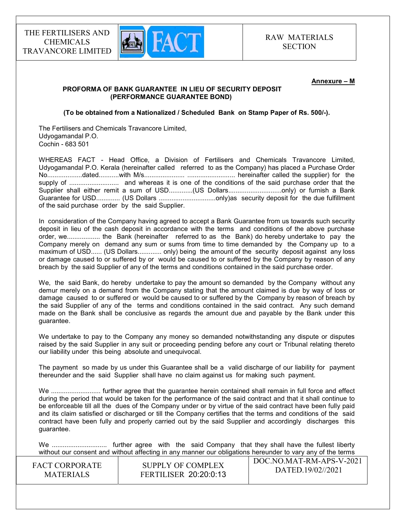

#### Annexure – M

#### PROFORMA OF BANK GUARANTEE IN LIEU OF SECURITY DEPOSIT (PERFORMANCE GUARANTEE BOND)

(To be obtained from a Nationalized / Scheduled Bank on Stamp Paper of Rs. 500/-).

The Fertilisers and Chemicals Travancore Limited, Udyogamandal P.O. Cochin - 683 501

WHEREAS FACT - Head Office, a Division of Fertilisers and Chemicals Travancore Limited, Udyogamandal P.O. Kerala (hereinafter called referred to as the Company) has placed a Purchase Order No...................dated...........with M/s...................... .......................... hereinafter called the supplier) for the supply of ........................... and whereas it is one of the conditions of the said purchase order that the Supplier shall either remit a sum of USD.............(US Dollars................................only) or furnish a Bank Guarantee for USD............. (US Dollars ...............................only)as security deposit for the due fulfillment of the said purchase order by the said Supplier.

In consideration of the Company having agreed to accept a Bank Guarantee from us towards such security deposit in lieu of the cash deposit in accordance with the terms and conditions of the above purchase order, we.................. the Bank (hereinafter referred to as the Bank) do hereby undertake to pay the Company merely on demand any sum or sums from time to time demanded by the Company up to a maximum of USD...... (US Dollars............. only) being the amount of the security deposit against any loss or damage caused to or suffered by or would be caused to or suffered by the Company by reason of any breach by the said Supplier of any of the terms and conditions contained in the said purchase order.

We, the said Bank, do hereby undertake to pay the amount so demanded by the Company without any demur merely on a demand from the Company stating that the amount claimed is due by way of loss or damage caused to or suffered or would be caused to or suffered by the Company by reason of breach by the said Supplier of any of the terms and conditions contained in the said contract. Any such demand made on the Bank shall be conclusive as regards the amount due and payable by the Bank under this guarantee.

We undertake to pay to the Company any money so demanded notwithstanding any dispute or disputes raised by the said Supplier in any suit or proceeding pending before any court or Tribunal relating thereto our liability under this being absolute and unequivocal.

The payment so made by us under this Guarantee shall be a valid discharge of our liability for payment thereunder and the said Supplier shall have no claim against us for making such payment.

We ........................... further agree that the guarantee herein contained shall remain in full force and effect during the period that would be taken for the performance of the said contract and that it shall continue to be enforceable till all the dues of the Company under or by virtue of the said contract have been fully paid and its claim satisfied or discharged or till the Company certifies that the terms and conditions of the said contract have been fully and properly carried out by the said Supplier and accordingly discharges this guarantee.

 $\overline{D}$ We .............................. further agree with the said Company that they shall have the fullest liberty without our consent and without affecting in any manner our obligations hereunder to vary any of the terms

| <b>FACT CORPORATE</b> | SUPPLY OF COMPLEX            | DOC.NO.MAT-RM-APS-V-2021 |
|-----------------------|------------------------------|--------------------------|
| <b>MATERIALS</b>      | <b>FERTILISER 20:20:0:13</b> | DATED.19/02//2021        |